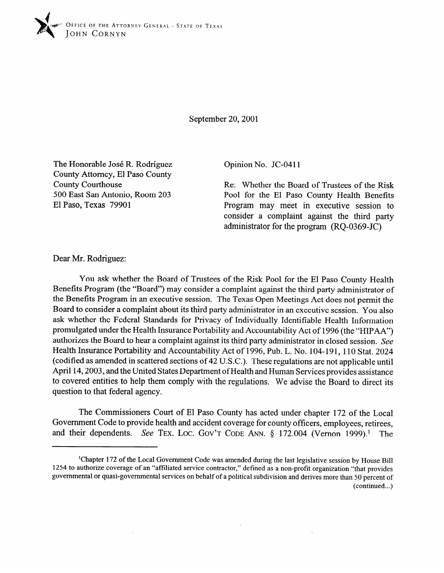

September 20,200l

The Honorable Jose R. Rodriguez  $\text{Count}_y$  Attorney, El Paso County  $\frac{1}{200}$   $\frac{1}{200}$   $\frac{1}{200}$  $500$  East San Antonio, Room 203 El Paso, Texas 79901

Opinion No. JC-0411

Re: Whether the Board of Trustees of the Risk Pool for the El Paso County Health Benefits Program may meet in executive session to consider a complaint against the third party consider a complaint against the third party administrator for the program (RQ-0369-JC)

Dear Mr. Rodriguez:

You ask whether the Board of Trustees of the Risk Pool for the El Paso County Health<br>Benefits Program (the "Board") may consider a complaint against the third party administrator of the Benefits Program in an executive session. The Texas Open Meetings Act does not permit the Board to consider a complaint about its third party administrator in an executive session. You also ask whether the Federal Standards for Privacy of Individually Identifiable Health Information. promulgated under the Health Insurance Portability and Accountability Act of 1996 (the "HIPAA") authorizes the Board to hear a complaint against its third party administrator in closed session. See Health Insurance Portability and Accountability Act of 1996, Pub. L. No. 104-191, 110 Stat. 2024 (codified as amended in scattered sections of 42 U.S.C.). These regulations are not applicable until April 14, 2003, and the United States Department of Health and Human Services provides assistance to covered entities to help them comply with the regulations. We advise the Board to direct its question to that federal agency.

The Commissioners Court of El Paso County has acted under chapter 172 of the Local Government Code to provide health and accident coverage for county officers, employees, retirees, and their dependents. See TEX. LOC. GOV'T CODE ANN.  $\S$  172.004 (Vernon 1999).<sup>1</sup> The

<sup>&</sup>lt;sup>1</sup>Chapter 172 of the Local Government Code was amended during the last legislative session by House Bill 1254 to authorize coverage of an "affiliated service contractor," defined as a non-profit organization "that provides governmental or quasi-governmental services on behalf of a political subdivision and derives more than 50 percent of  $(continued...)$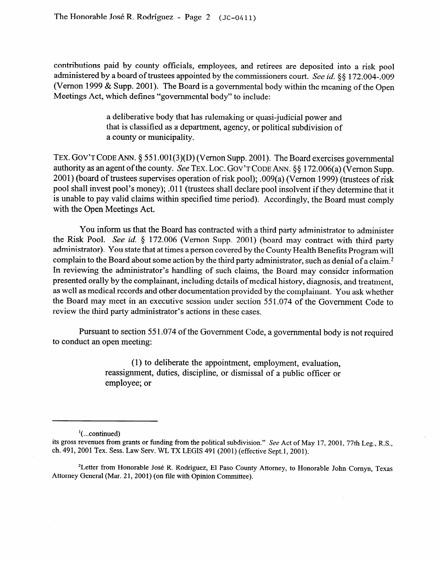contributions paid by county officials, employees, and retirees are deposited into a risk pool administered by a board of trustees appointed by the commissioners court. See id.  $\S$ § 172.004-.009 (Vernon 1999 & Supp. 2001). The Board is a governmental body within the meaning of the Open Meetings Act, which defines "governmental body" to include:

> a deliberative body that has rulemaking or quasi-judicial power and that is classified as a department, agency, or political subdivision of a county or municipality.

**TEX. GOV'T CODE ANN. 0** 551.001(3)(D) (V emon Supp. 2001). The Board exercises governmental authority as an agent of the county. See **TEX. LOC.** GOV'T CODE ANN. \$8 172.006(a) (Vernon Supp. 2001) (board of trustees supervises operation of risk pool); .009(a) (Vernon 1999) (trustees of risk pool shall invest pool's money); .Ol 1 (trustees shall declare pool insolvent if they determine that it is unable to pay valid claims within specified time period). Accordingly, the Board must comply with the Open Meetings Act.

You inform us that the Board has contracted with a third party administrator to administer<br>the Risk Pool. See id. § 172.006 (Vernon Supp. 2001) (board may contract with third party administrator). You state that at times a person covered by the County Health Benefits Program will complain to the Board about some action by the third party administrator, such as denial of a claim.<sup>2</sup> In reviewing the administrator's handling of such claims, the Board may consider information presented orally by the complainant, including details of medical history, diagnosis, and treatment. as well as medical records and other documentation provided by the complainant. You ask whether the Board may meet in an executive session under section 551.074 of the Government Code to  $t_{\text{c}}$  the Board marty administrator's actions in these cases  $\mathbf{r}$  third party administrator and party administrator's actions in the se cases.

Pursuant to section 551.074 of the Government Code, a governmental body is not required to conduct an open meeting:  $t = t$ oconduct $t = t$ 

> (1) to deliberate the appointment, employment, evaluation, reassignment, duties, discipline, or dismissal of a public officer or employee; or

 $\cdot$  (...continued)

<sup>2</sup>Letter from Honorable José R. Rodríguez, El Paso County Attorney, to Honorable John Cornyn, Texas Attorney General (Mar. 21, 2001) (on file with Opinion Committee).

its gross revenues from grants or funding from the political subdivision." See Act of May 17, 2001, 77th Leg., R.S., ch. 491, 2001 Tex. Sess. Law Serv. WL TX LEGIS 491 (2001) (effective Sept.1, 2001).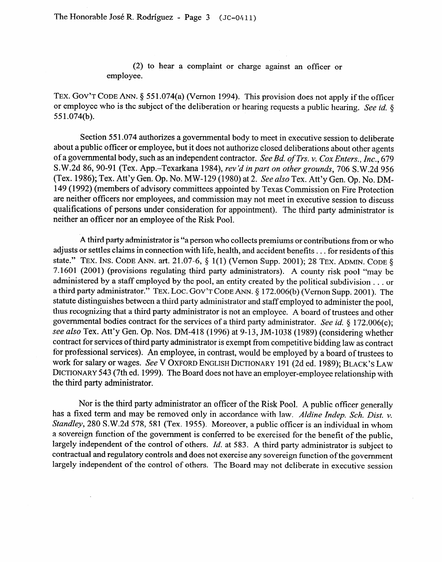(2) to hear a complaint or charge against an officer or employee.

TEX. GOV'T CODE ANN. § 551.074(a) (Vernon 1994). This provision does not apply if the officer or employee who is the subject of the deliberation or hearing requests a public hearing. See id.  $\S$ 55 1.074(b).

Section 55 1.074 authorizes a governmental body to meet in executive session to deliberate about a public officer or employee, but it does not authorize closed deliberations about other agents of a governmental body, such as an independent contractor. See *Bd. ufTrs. v. Cox Enters., Inc., 679*  S.W.2d 86, 90-91 (Tex. App.-Texarkana 1984), *rev'd in part on other grounds, 706* S.W.2d 956 (Tex. 1986); Tex. Att'y Gen. Op. No. MW-129 (1980) at 2. See *also* Tex. Att'y Gen. Op. No. DM-149 (1992) ( members of advisory committees appointed by Texas Commission on Fire Protection are neither officers nor employees, and commission may not meet in executive session to discuss qualifications of persons under consideration for appointment). The third party administrator is neither an officer nor an employee of the Risk Pool.

A third party administrator is "a person who collects premiums or contributions from or who adjusts or settles claims in connection with life, health, and accident benefits . . . for residents of this state." TEX. INS. CODE ANN. art. 21.07-6,  $\S$  1(1) (Vernon Supp. 2001): 28 TEX. ADMIN. CODE  $\S$ 7.1601 (2001) (provisions regulating third party administrators). A county risk pool "may be administered by a staff employed by the pool, an entity created by the political subdivision . . . or a third party administrator." TEX. LOC. GOV'T CODE ANN. § 172.006(b) (Vernon Supp. 2001). The statute distinguishes between a third party administrator and staff employed to administer the pool, thus recognizing that a third party administrator is not an employee. A board of trustees and other governmental bodies contract for the services of a third party administrator. See id. § 172.006(c); see also Tex. Att'y Gen. Op. Nos. DM-418 (1996) at 9-13, JM-1038 (1989) (considering whether contract for services of third party administrator is exempt from competitive bidding law as contract for professional services). An employee, in contrast, would be employed by a board of trustees to work for salary or wages. See V OXFORD ENGLISH DICTIONARY 191 (2d ed. 1989); BLACK'S LAW DICTIONARY 543 (7th ed. 1999). The Board does not have an employer-employee relationship with the third party administrator.

Nor is the third party administrator an officer of the Risk Pool. A public officer generally has a fixed term and may be removed only in accordance with law. Aldine Indep. Sch. Dist. v. Standley, 280 S.W.2d 578, 581 (Tex. 1955). Moreover, a public officer is an individual in whom a sovereign function of the government is conferred to be exercised for the benefit of the public, largely independent of the control of others. *Id.* at 583. A third party administrator is subject to contractual and regulatory controls and does not exercise any sovereign function of the government largely independent of the control of others. The Board may not deliberate in executive session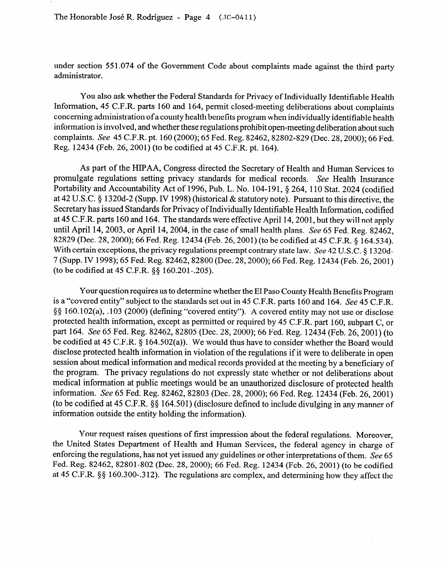under section 55 1.074 of the Government Code about complaints made against the third party administrator.

You also ask whether the Federal Standards for Privacy of Individually Identifiable Health Information, 45 C.F.R. parts 160 and 164, permit closed-meeting deliberations about complaints concerning administration of a county health benefits program when individually identifiable health information is involved, and whether these regulations prohibit open-meeting deliberation about such complaints. See 45 C.F.R. pt. 160 (2000); 65 Fed. Reg. 82462, 82802-829 (Dec. 28, 2000); 66 Fed. Reg. 12434 (Feb. 26,200l) (to be codified at 45 C.F.R. pt. 164).

As part of the HIPAA, Congress directed the Secretary of Health and Human Services to promulgate regulations setting privacy standards for medical records. See Health Insurance promulgate regulations setting privacy standards for medical records. See Health Insurance  $P(A \cap B)$  and Accountability Act of 1996, Pub. L. No. 104-191,  $9204$ , 110 Stat. 2024 (codified to  $P(A \cap B)$ at 42 U.S.C.  $\frac{8}{3}$  1320d-2 (Supp. IV 1998) (historical & statutory note). Pursuant to this directive, the  $\frac{1}{2}$  secretary has issued Standards for Privacy of Individually Identifiable Fream Information, countries at 45 C.F.R. parts 160 and 164. The standards were effective April 14, 2001, but they will not apply until April 14, 2003, or April 14, 2004, in the case of small health plans. See 65 Fed. Reg. 82462, 82829 (Dec. 28, 2000); 66 Fed. Reg. 12434 (Feb. 26, 2001) (to be codified at 45 C.F.R. 8 164.534). With certain exceptions, the privacy regulations preempt contrary state law. See 42 U.S.C. § 1320d-7 (Supp. IV 1998); 65 Fed. Reg. 82462, 82800 (Dec. 28, 2000); 66 Fed. Reg. 12434 (Feb. 26, 2001)  $(10.8160 \text{ rad}^2)(10.8160 \text{ rad}^2)(10.8160 \text{ rad}^2)(10.8280 \text{ rad}^2)(10.8160 \text{ rad}^2)(10.8160 \text{ rad}^2)(10.8160 \text{ rad}^2)(10.8160 \text{ rad}^2)(10.8160 \text{ rad}^2)(10.8160 \text{ rad}^2)(10.8160 \text{ rad}^2)(10.8160 \text{ rad}^2)(10.8160 \text{ rad}^2)(10.8160 \text{ rad}^2)(10.8160 \text$ (the best codified at  $45$  C.F.R.  $33$  160.201-014.200)

Your question requires us to determine whether the El Paso County Health Benefits Program<br>is a "covered entity" subject to the standards set out in 45 C.F.R. parts 160 and 164. See 45 C.F.R. §§ 160.102(a), .103 (2000) (defining "covered entity"). A covered entity may not use or disclose protected health information, except as permitted or required by 45 C.F.R. part 160, subpart C, or part 164. See 65 Fed. Reg. 82462, 82805 (Dec. 28, 2000); 66 Fed. Reg. 12434 (Feb. 26, 2001) (to be codified at 45 C.F.R.  $\S$  164.502(a)). We would thus have to consider whether the Board would disclose protected health information in violation of the regulations if it were to deliberate in open session about medical information and medical records provided at the meeting by a beneficiary of the program. The privacy regulations do not expressly state whether or not deliberations about medical information at public meetings would be an unauthorized disclosure of protected health information. See 65 Fed. Reg. 82462, 82803 (Dec. 28, 2000); 66 Fed. Reg. 12434 (Feb. 26, 2001) (to be codified at 45 C.F.R.  $\S$ § 164.501) (disclosure defined to include divulging in any manner of information outside the entity holding the information).

Your request raises questions of first impression about the federal regulations. Moreover, the United States Department of Health and Human Services, the federal agency in charge of enforcing the regulations, has not yet issued any guidelines or other interpretations of them. See 65 Fed. Reg. 82462, 82801-802 (Dec. 28, 2000); 66 Fed. Reg. 12434 (Feb. 26, 2001) (to be codified at 45 C.F.R. §§ 160.300-.312). The regulations are complex, and determining how they affect the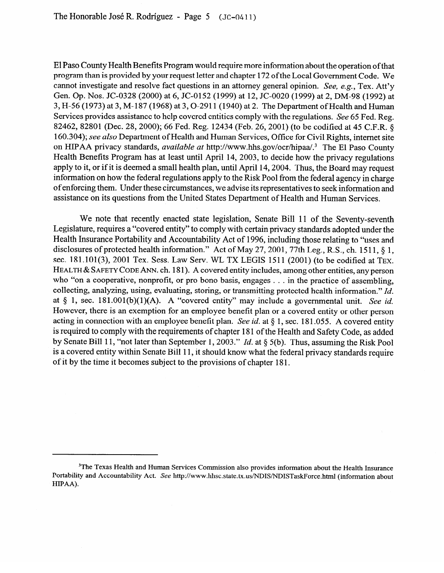El Paso County Health Benefits Program would require more information about the operation of that program than is provided by your request letter and chapter 172 of the Local Government Code. We cannot investigate and resolve fact questions in an attorney general opinion. See, e.g., Tex. Att'v Gen. Op. Nos. JC-0328 (2000) at 6, JC-0152 (1999) at 12, JC-0020 (1999) at 2, DM-98 (1992) at 3, H-56 (1973) at 3, M-187 (1968) at 3, O-2911 (1940) at 2. The Department of Health and Human Services provides assistance to help covered entities comply with the regulations. See 65 Fed. Reg. 82462, 82801 (Dec. 28, 2000); 66 Fed. Reg. 12434 (Feb. 26, 2001) (to be codified at 45 C.F.R. 8 160.304); see *also* Department of Health and Human Services, Office for Civil Rights, intemet site on HIPAA privacy standards, *available at* http://www.hhs.gov/ocr/hipaa/.<sup>3</sup> The El Paso County Health Benefits Program has at least until April 14, 2003, to decide how the privacy regulations apply to it, or if it is deemed a small health plan, until April 14,2004. Thus, the Board may request information on how the federal regulations apply to the Risk Pool from the federal agency in charge<br>of enforcing them. Under these circumstances, we advise its representatives to seek information and of enforcing them. Under these circumstances, we advise its representatives to seek information and assistance on its questions from the United States Department of Health and Human Services.

We note that recently enacted state legislation, Senate Bill 11 of the Seventy-seventh<br>Legislature, requires a "covered entity" to comply with certain privacy standards adopted under the Health Insurance Portability and Accountability Act of 1996, including those relating to "uses and disclosures of protected health information." Act of May 27, 2001, 77th Leg., R.S., ch. 1511,  $\delta$  1. sec. 181.101(3), 2001 Tex. Sess. Law Serv. WL TX LEGIS 1511 (2001) (to be codified at TEX. HEALTH & SAFETY CODE ANN. ch. 181). A covered entity includes, among other entities, any person who "on a cooperative, nonprofit, or pro bono basis, engages . . . in the practice of assembling, collecting, analyzing, using, evaluating, storing, or transmitting protected health information."  $Id$ . at  $\S$  1, sec. 181.001(b)(1)(A). A "covered entity" may include a governmental unit. See id. However, there is an exemption for an employee benefit plan or a covered entity or other person acting in connection with an employee benefit plan. See id. at  $\S 1$ , sec. 181.055. A covered entity is required to comply with the requirements of chapter 181 of the Health and Safety Code, as added by Senate Bill 11. "not later than September 1, 2003." *Id.* at § 5(b). Thus, assuming the Risk Pool is a covered entity within Senate Bill 11, it should know what the federal privacy standards require of it by the time it becomes subject to the provisions of chapter 181. of time it by the time it becomes subject to the provisions of chapter  $1$ .

<sup>&</sup>lt;sup>3</sup>The Texas Health and Human Services Commission also provides information about the Health Insurance Portability and Accountability Act. See http://www.hhsc.state.tx.us/NDIS/NDISTaskForce.html (information about HIPAA).  $\text{HIPAA}.$